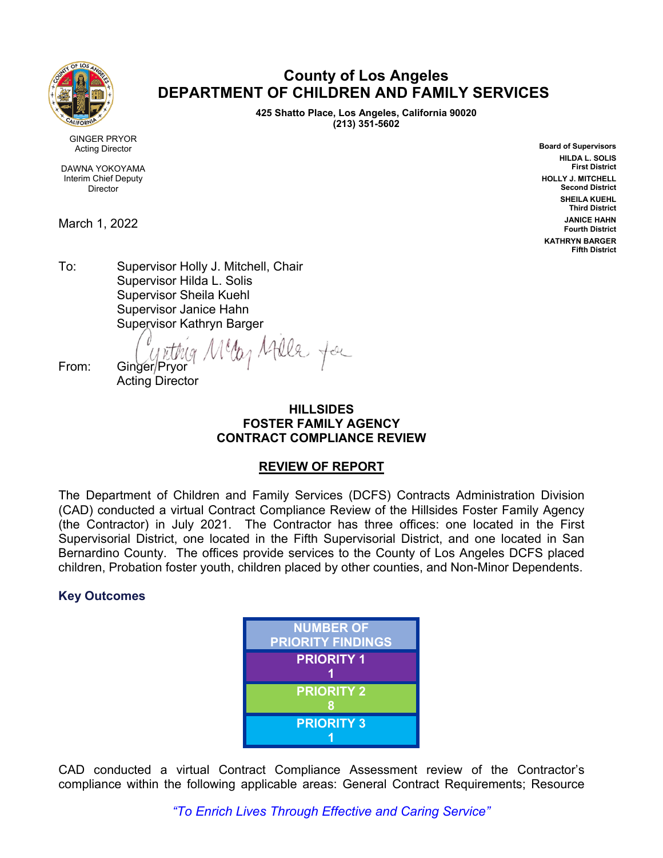

# **County of Los Angeles DEPARTMENT OF CHILDREN AND FAMILY SERVICES**

**425 Shatto Place, Los Angeles, California 90020 (213) 351-5602**

GINGER PRYOR Acting Director

DAWNA YOKOYAMA Interim Chief Deputy **Director** 

March 1, 2022

**Board of Supervisors HILDA L. SOLIS First District HOLLY J. MITCHELL Second District SHEILA KUEHL Third District JANICE HAHN Fourth District KATHRYN BARGER Fifth District**

To: Supervisor Holly J. Mitchell, Chair Supervisor Hilda L. Solis Supervisor Sheila Kuehl Supervisor Janice Hahn Supervisor Kathryn Barger

of Atlle for From: Ginger/Pryor Acting Director

#### **HILLSIDES FOSTER FAMILY AGENCY CONTRACT COMPLIANCE REVIEW**

## **REVIEW OF REPORT**

The Department of Children and Family Services (DCFS) Contracts Administration Division (CAD) conducted a virtual Contract Compliance Review of the Hillsides Foster Family Agency (the Contractor) in July 2021. The Contractor has three offices: one located in the First Supervisorial District, one located in the Fifth Supervisorial District, and one located in San Bernardino County. The offices provide services to the County of Los Angeles DCFS placed children, Probation foster youth, children placed by other counties, and Non-Minor Dependents.

# **Key Outcomes**

| <b>NUMBER OF</b><br><b>PRIORITY FINDINGS</b> |
|----------------------------------------------|
| <b>PRIORITY 1</b>                            |
| <b>PRIORITY 2</b>                            |
| <b>PRIORITY 3</b>                            |

CAD conducted a virtual Contract Compliance Assessment review of the Contractor's compliance within the following applicable areas: General Contract Requirements; Resource

*"To Enrich Lives Through Effective and Caring Service"*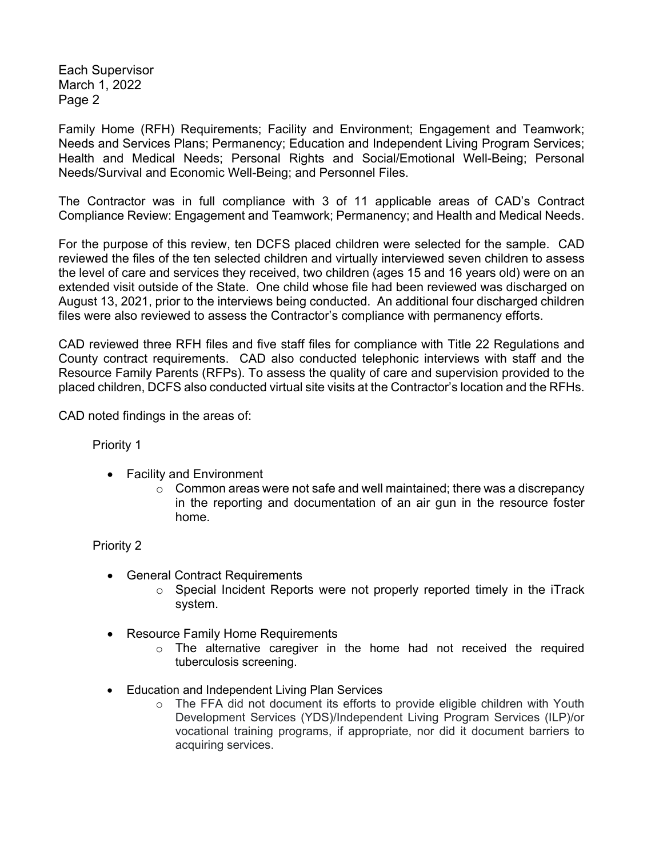Each Supervisor March 1, 2022 Page 2

Family Home (RFH) Requirements; Facility and Environment; Engagement and Teamwork; Needs and Services Plans; Permanency; Education and Independent Living Program Services; Health and Medical Needs; Personal Rights and Social/Emotional Well-Being; Personal Needs/Survival and Economic Well-Being; and Personnel Files.

The Contractor was in full compliance with 3 of 11 applicable areas of CAD's Contract Compliance Review: Engagement and Teamwork; Permanency; and Health and Medical Needs.

For the purpose of this review, ten DCFS placed children were selected for the sample. CAD reviewed the files of the ten selected children and virtually interviewed seven children to assess the level of care and services they received, two children (ages 15 and 16 years old) were on an extended visit outside of the State. One child whose file had been reviewed was discharged on August 13, 2021, prior to the interviews being conducted. An additional four discharged children files were also reviewed to assess the Contractor's compliance with permanency efforts.

CAD reviewed three RFH files and five staff files for compliance with Title 22 Regulations and County contract requirements. CAD also conducted telephonic interviews with staff and the Resource Family Parents (RFPs). To assess the quality of care and supervision provided to the placed children, DCFS also conducted virtual site visits at the Contractor's location and the RFHs.

CAD noted findings in the areas of:

Priority 1

- Facility and Environment
	- $\circ$  Common areas were not safe and well maintained; there was a discrepancy in the reporting and documentation of an air gun in the resource foster home.

#### Priority 2

- General Contract Requirements
	- o Special Incident Reports were not properly reported timely in the iTrack system.
- Resource Family Home Requirements
	- $\circ$  The alternative caregiver in the home had not received the required tuberculosis screening.
- Education and Independent Living Plan Services
	- o The FFA did not document its efforts to provide eligible children with Youth Development Services (YDS)/Independent Living Program Services (ILP)/or vocational training programs, if appropriate, nor did it document barriers to acquiring services.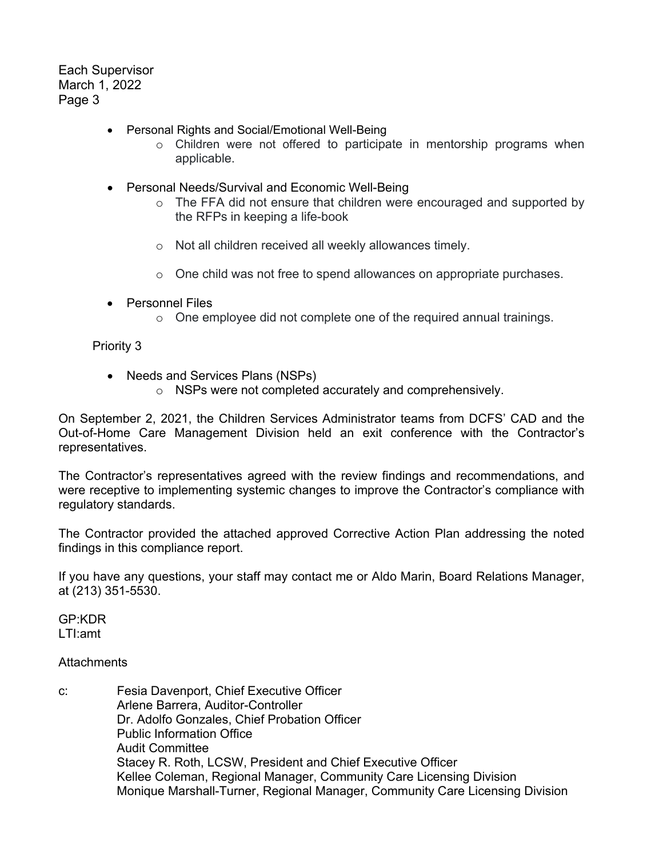Each Supervisor March 1, 2022 Page 3

- Personal Rights and Social/Emotional Well-Being
	- o Children were not offered to participate in mentorship programs when applicable.
- Personal Needs/Survival and Economic Well-Being
	- o The FFA did not ensure that children were encouraged and supported by the RFPs in keeping a life-book
	- o Not all children received all weekly allowances timely.
	- $\circ$  One child was not free to spend allowances on appropriate purchases.
- Personnel Files
	- o One employee did not complete one of the required annual trainings.

#### Priority 3

- Needs and Services Plans (NSPs)
	- o NSPs were not completed accurately and comprehensively.

On September 2, 2021, the Children Services Administrator teams from DCFS' CAD and the Out-of-Home Care Management Division held an exit conference with the Contractor's representatives.

The Contractor's representatives agreed with the review findings and recommendations, and were receptive to implementing systemic changes to improve the Contractor's compliance with regulatory standards.

The Contractor provided the attached approved Corrective Action Plan addressing the noted findings in this compliance report.

If you have any questions, your staff may contact me or Aldo Marin, Board Relations Manager, at (213) 351-5530.

GP:KDR LTI:amt

#### **Attachments**

c: Fesia Davenport, Chief Executive Officer Arlene Barrera, Auditor-Controller Dr. Adolfo Gonzales, Chief Probation Officer Public Information Office Audit Committee Stacey R. Roth, LCSW, President and Chief Executive Officer Kellee Coleman, Regional Manager, Community Care Licensing Division Monique Marshall-Turner, Regional Manager, Community Care Licensing Division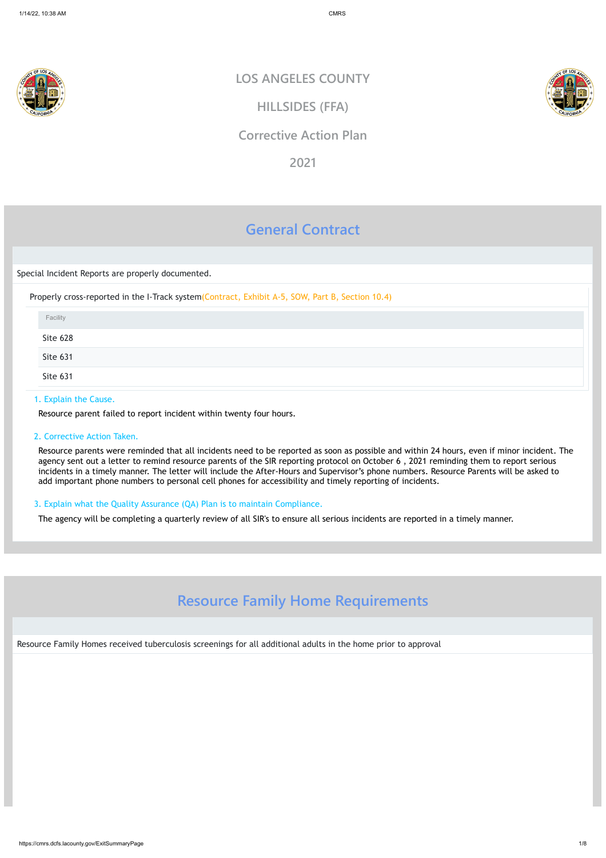

https://cmrs.dcfs.lacounty.gov/ExitSummaryPage 1/8

# **General Contract**

### Special Incident Reports are properly documented.

Properly cross-reported in the I-Track system(Contract, Exhibit A-5, SOW, Part B, Section 10.4)

# 1. Explain the Cause.

Resource parent failed to report incident within twenty four hours.

# 2. Corrective Action Taken.

Resource parents were reminded that all incidents need to be reported as soon as possible and within 24 hours, even if minor incident. The agency sent out a letter to remind resource parents of the SIR reporting protocol on October 6 , 2021 reminding them to report serious incidents in a timely manner. The letter will include the After-Hours and Supervisor's phone numbers. Resource Parents will be asked to add important phone numbers to personal cell phones for accessibility and timely reporting of incidents.

| Facility                                                 |  |
|----------------------------------------------------------|--|
| Site 628                                                 |  |
| the control of the control of the control of<br>Site 631 |  |
| Site 631                                                 |  |

# 3. Explain what the Quality Assurance (QA) Plan is to maintain Compliance.

The agency will be completing a quarterly review of all SIR's to ensure all serious incidents are reported in a timely manner.

# **Resource Family Home Requirements**

Resource Family Homes received tuberculosis screenings for all additional adults in the home prior to approval

**LOS ANGELES COUNTY**

**HILLSIDES (FFA)**

# **Corrective Action Plan**

**2021**

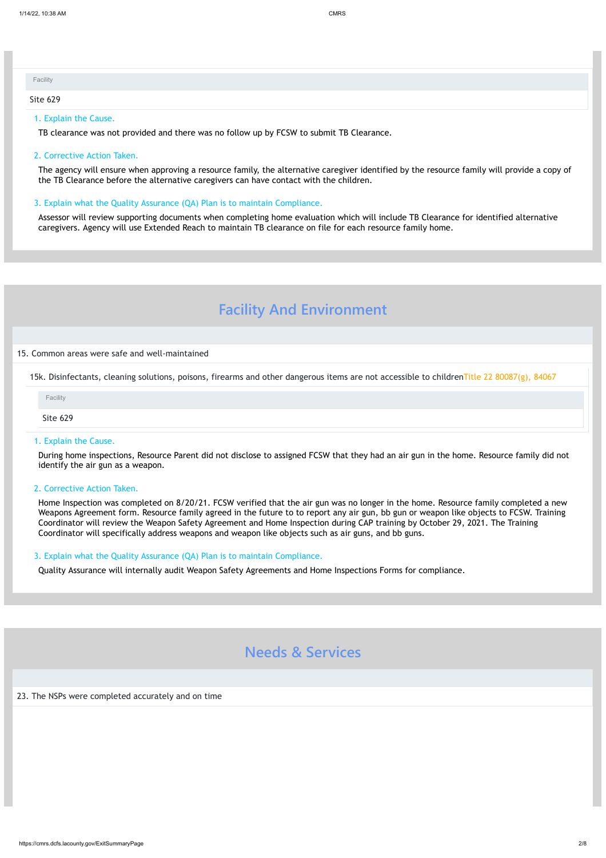#### 1. Explain the Cause.

TB clearance was not provided and there was no follow up by FCSW to submit TB Clearance.

#### 2. Corrective Action Taken.

The agency will ensure when approving a resource family, the alternative caregiver identified by the resource family will provide a copy of the TB Clearance before the alternative caregivers can have contact with the children.

#### 3. Explain what the Quality Assurance (QA) Plan is to maintain Compliance.

Assessor will review supporting documents when completing home evaluation which will include TB Clearance for identified alternative caregivers. Agency will use Extended Reach to maintain TB clearance on file for each resource family home.

# **Facility And Environment**

#### 15. Common areas were safe and well-maintained

15k. Disinfectants, cleaning solutions, poisons, firearms and other dangerous items are not accessible to childrenTitle 22 80087(g), 84067

#### 1. Explain the Cause.

| Facility |  |  |  |
|----------|--|--|--|
| Site 629 |  |  |  |

During home inspections, Resource Parent did not disclose to assigned FCSW that they had an air gun in the home. Resource family did not identify the air gun as a weapon.

### 2. Corrective Action Taken.

Home Inspection was completed on 8/20/21. FCSW verified that the air gun was no longer in the home. Resource family completed a new Weapons Agreement form. Resource family agreed in the future to to report any air gun, bb gun or weapon like objects to FCSW. Training Coordinator will review the Weapon Safety Agreement and Home Inspection during CAP training by October 29, 2021. The Training Coordinator will specifically address weapons and weapon like objects such as air guns, and bb guns.

| Facility |  |  |
|----------|--|--|
| Site 629 |  |  |

#### 3. Explain what the Quality Assurance (QA) Plan is to maintain Compliance.

Quality Assurance will internally audit Weapon Safety Agreements and Home Inspections Forms for compliance.



23. The NSPs were completed accurately and on time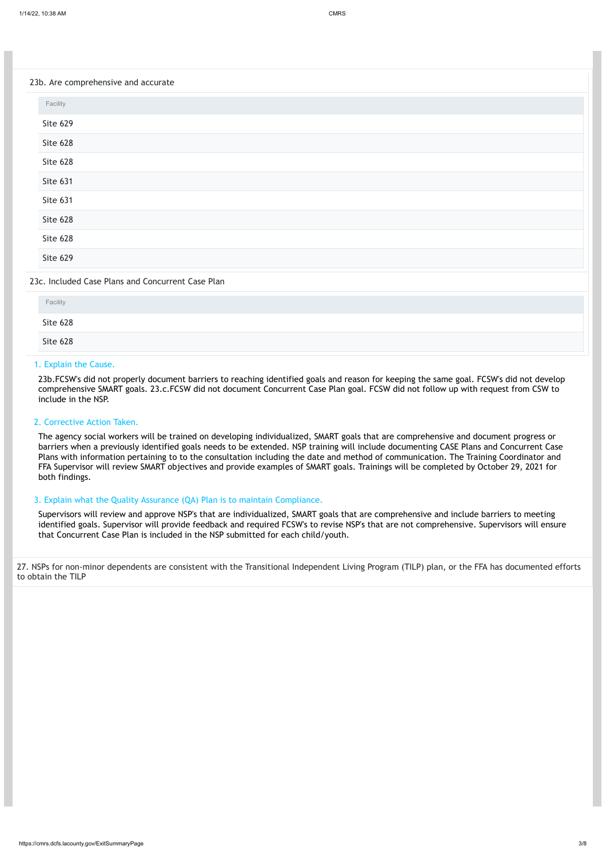https://cmrs.dcfs.lacounty.gov/ExitSummaryPage 3/8

#### 23b. Are comprehensive and accurate

## 23c. Included Case Plans and Concurrent Case Plan

## 1. Explain the Cause.

23b.FCSW's did not properly document barriers to reaching identified goals and reason for keeping the same goal. FCSW's did not develop comprehensive SMART goals. 23.c.FCSW did not document Concurrent Case Plan goal. FCSW did not follow up with request from CSW to include in the NSP.

#### 2. Corrective Action Taken.

The agency social workers will be trained on developing individualized, SMART goals that are comprehensive and document progress or barriers when a previously identified goals needs to be extended. NSP training will include documenting CASE Plans and Concurrent Case Plans with information pertaining to to the consultation including the date and method of communication. The Training Coordinator and FFA Supervisor will review SMART objectives and provide examples of SMART goals. Trainings will be completed by October 29, 2021 for both findings.

| Facility |  |
|----------|--|
| Site 629 |  |
| Site 628 |  |
| Site 628 |  |
| Site 631 |  |
| Site 631 |  |
| Site 628 |  |
| Site 628 |  |
| Site 629 |  |

| Facility |  |  |  |
|----------|--|--|--|
| Site 628 |  |  |  |
| Site 628 |  |  |  |

#### 3. Explain what the Quality Assurance (QA) Plan is to maintain Compliance.

Supervisors will review and approve NSP's that are individualized, SMART goals that are comprehensive and include barriers to meeting identified goals. Supervisor will provide feedback and required FCSW's to revise NSP's that are not comprehensive. Supervisors will ensure that Concurrent Case Plan is included in the NSP submitted for each child/youth.

27. NSPs for non-minor dependents are consistent with the Transitional Independent Living Program (TILP) plan, or the FFA has documented efforts to obtain the TILP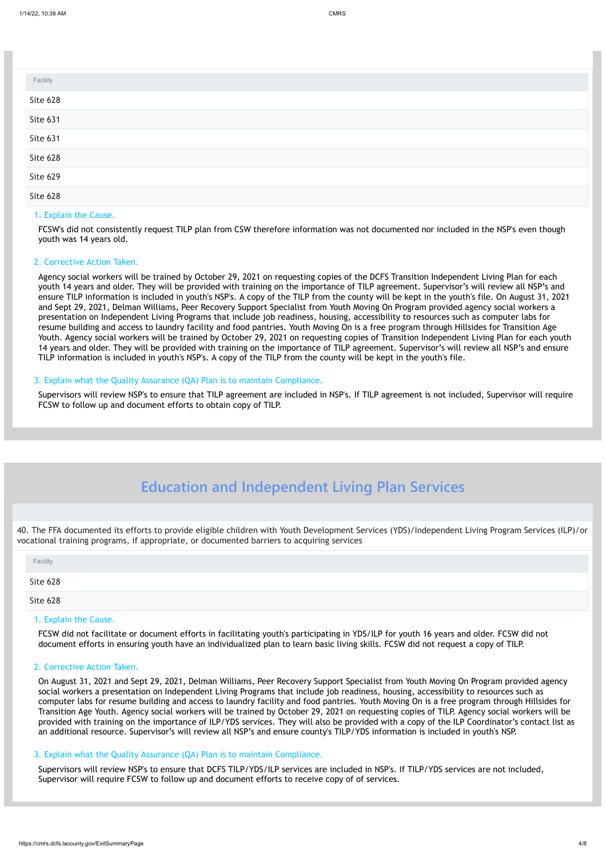#### 1. Explain the Cause.

FCSW's did not consistently request TILP plan from CSW therefore information was not documented nor included in the NSP's even though youth was 14 years old.

#### 2. Corrective Action Taken.

Agency social workers will be trained by October 29, 2021 on requesting copies of the DCFS Transition Independent Living Plan for each youth 14 years and older. They will be provided with training on the importance of TILP agreement. Supervisor's will review all NSP's and ensure TILP information is included in youth's NSP's. A copy of the TILP from the county will be kept in the youth's file. On August 31, 2021 and Sept 29, 2021, Delman Williams, Peer Recovery Support Specialist from Youth Moving On Program provided agency social workers a presentation on Independent Living Programs that include job readiness, housing, accessibility to resources such as computer labs for resume building and access to laundry facility and food pantries. Youth Moving On is a free program through Hillsides for Transition Age Youth. Agency social workers will be trained by October 29, 2021 on requesting copies of Transition Independent Living Plan for each youth 14 years and older. They will be provided with training on the importance of TILP agreement. Supervisor's will review all NSP's and ensure TILP information is included in youth's NSP's. A copy of the TILP from the county will be kept in the youth's file.

#### 3. Explain what the Quality Assurance (QA) Plan is to maintain Compliance.

Supervisors will review NSP's to ensure that TILP agreement are included in NSP's. If TILP agreement is not included, Supervisor will require FCSW to follow up and document efforts to obtain copy of TILP.

| Facility |  |
|----------|--|
| Site 628 |  |
| Site 631 |  |
| Site 631 |  |
| Site 628 |  |
| Site 629 |  |
| Site 628 |  |

# **Education and Independent Living Plan Services**

40. The FFA documented its efforts to provide eligible children with Youth Development Services (YDS)/Independent Living Program Services (ILP)/or vocational training programs, if appropriate, or documented barriers to acquiring services

#### 1. Explain the Cause.

FCSW did not facilitate or document efforts in facilitating youth's participating in YDS/ILP for youth 16 years and older. FCSW did not document efforts in ensuring youth have an individualized plan to learn basic living skills. FCSW did not request a copy of TILP.

## 2. Corrective Action Taken.

| Facility        |  |  |  |
|-----------------|--|--|--|
| Site 628        |  |  |  |
| <b>Site 628</b> |  |  |  |

On August 31, 2021 and Sept 29, 2021, Delman Williams, Peer Recovery Support Specialist from Youth Moving On Program provided agency social workers a presentation on Independent Living Programs that include job readiness, housing, accessibility to resources such as computer labs for resume building and access to laundry facility and food pantries. Youth Moving On is a free program through Hillsides for Transition Age Youth. Agency social workers will be trained by October 29, 2021 on requesting copies of TILP. Agency social workers will be provided with training on the importance of ILP/YDS services. They will also be provided with a copy of the ILP Coordinator's contact list as an additional resource. Supervisor's will review all NSP's and ensure county's TILP/YDS information is included in youth's NSP.

#### 3. Explain what the Quality Assurance (QA) Plan is to maintain Compliance.

Supervisors will review NSP's to ensure that DCFS TILP/YDS/ILP services are included in NSP's. If TILP/YDS services are not included, Supervisor will require FCSW to follow up and document efforts to receive copy of of services.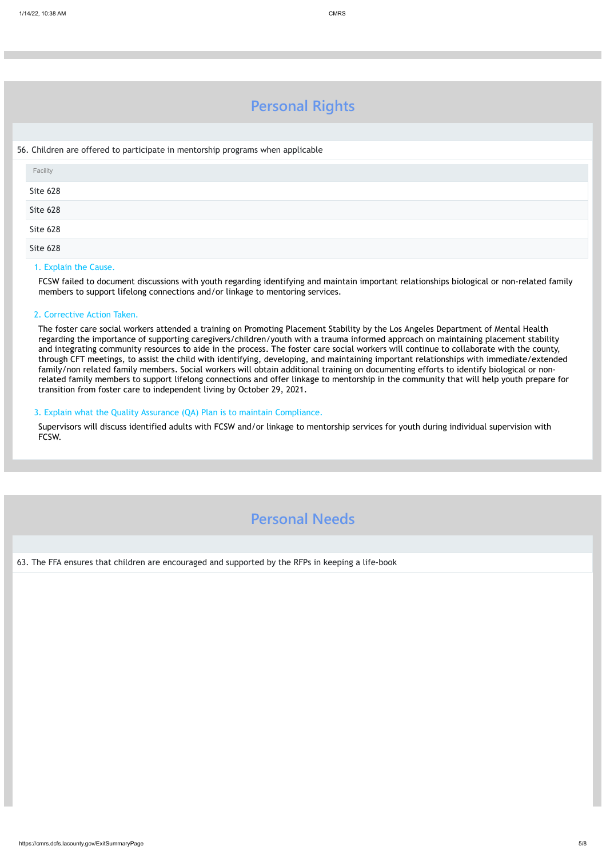https://cmrs.dcfs.lacounty.gov/ExitSummaryPage 5/8

# **Personal Rights**

### 56. Children are offered to participate in mentorship programs when applicable

#### 1. Explain the Cause.

FCSW failed to document discussions with youth regarding identifying and maintain important relationships biological or non-related family members to support lifelong connections and/or linkage to mentoring services.

## 2. Corrective Action Taken.

The foster care social workers attended a training on Promoting Placement Stability by the Los Angeles Department of Mental Health regarding the importance of supporting caregivers/children/youth with a trauma informed approach on maintaining placement stability and integrating community resources to aide in the process. The foster care social workers will continue to collaborate with the county, through CFT meetings, to assist the child with identifying, developing, and maintaining important relationships with immediate/extended family/non related family members. Social workers will obtain additional training on documenting efforts to identify biological or nonrelated family members to support lifelong connections and offer linkage to mentorship in the community that will help youth prepare for transition from foster care to independent living by October 29, 2021.

| Facility |  |  |
|----------|--|--|
| Site 628 |  |  |
| Site 628 |  |  |
| Site 628 |  |  |
| Site 628 |  |  |

# 3. Explain what the Quality Assurance (QA) Plan is to maintain Compliance.

Supervisors will discuss identified adults with FCSW and/or linkage to mentorship services for youth during individual supervision with FCSW.

# **Personal Needs**

63. The FFA ensures that children are encouraged and supported by the RFPs in keeping a life-book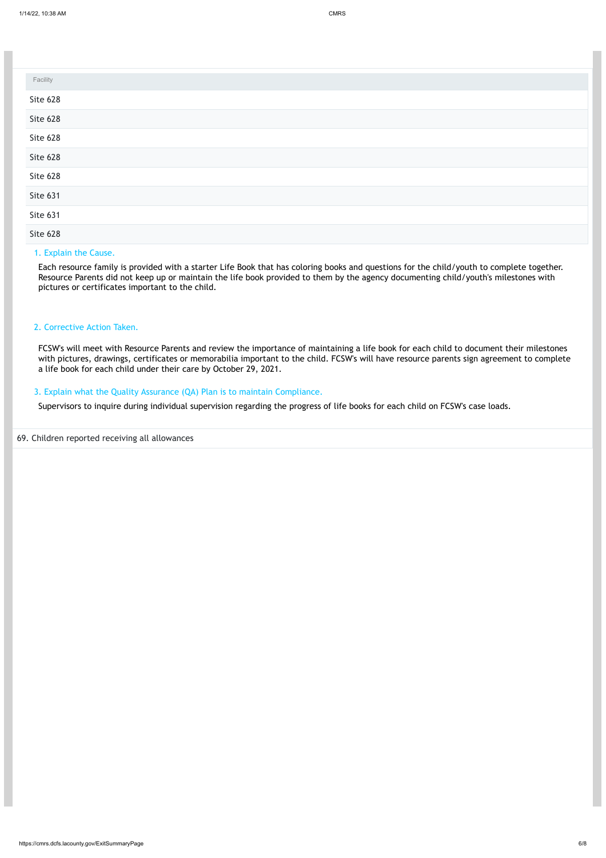https://cmrs.dcfs.lacounty.gov/ExitSummaryPage 6/8

#### 1. Explain the Cause.

Each resource family is provided with a starter Life Book that has coloring books and questions for the child/youth to complete together. Resource Parents did not keep up or maintain the life book provided to them by the agency documenting child/youth's milestones with pictures or certificates important to the child.

## 2. Corrective Action Taken.

| Facility |  |
|----------|--|
| Site 628 |  |
| Site 628 |  |
| Site 628 |  |
| Site 628 |  |
| Site 628 |  |
| Site 631 |  |
| Site 631 |  |
| Site 628 |  |

FCSW's will meet with Resource Parents and review the importance of maintaining a life book for each child to document their milestones with pictures, drawings, certificates or memorabilia important to the child. FCSW's will have resource parents sign agreement to complete a life book for each child under their care by October 29, 2021.

#### 3. Explain what the Quality Assurance (QA) Plan is to maintain Compliance.

Supervisors to inquire during individual supervision regarding the progress of life books for each child on FCSW's case loads.

#### 69. Children reported receiving all allowances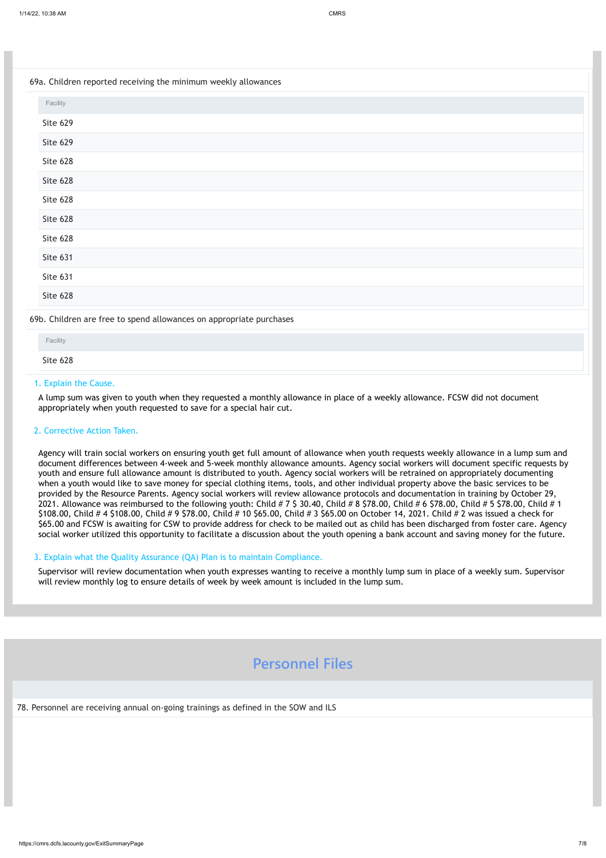# 1. Explain the Cause.

A lump sum was given to youth when they requested a monthly allowance in place of a weekly allowance. FCSW did not document appropriately when youth requested to save for a special hair cut.

# 2. Corrective Action Taken.

| 69a. Children reported receiving the minimum weekly allowances      |
|---------------------------------------------------------------------|
| Facility                                                            |
| <b>Site 629</b>                                                     |
| Site 629                                                            |
| Site 628                                                            |
| Site 628                                                            |
| Site 628                                                            |
| Site 628                                                            |
| Site 628                                                            |
| Site 631                                                            |
| Site 631                                                            |
| Site 628                                                            |
| 69b. Children are free to spend allowances on appropriate purchases |
| the control of the con-                                             |

Agency will train social workers on ensuring youth get full amount of allowance when youth requests weekly allowance in a lump sum and document differences between 4-week and 5-week monthly allowance amounts. Agency social workers will document specific requests by youth and ensure full allowance amount is distributed to youth. Agency social workers will be retrained on appropriately documenting when a youth would like to save money for special clothing items, tools, and other individual property above the basic services to be provided by the Resource Parents. Agency social workers will review allowance protocols and documentation in training by October 29, 2021. Allowance was reimbursed to the following youth: Child # 7 \$ 30.40, Child # 8 \$78.00, Child # 6 \$78.00, Child # 5 \$78.00, Child # 1 \$108.00, Child # 4 \$108.00, Child # 9 \$78.00, Child # 10 \$65.00, Child # 3 \$65.00 on October 14, 2021. Child # 2 was issued a check for \$65.00 and FCSW is awaiting for CSW to provide address for check to be mailed out as child has been discharged from foster care. Agency social worker utilized this opportunity to facilitate a discussion about the youth opening a bank account and saving money for the future.

| Facility |  |  |  |
|----------|--|--|--|
| Site 628 |  |  |  |
|          |  |  |  |

# 3. Explain what the Quality Assurance (QA) Plan is to maintain Compliance.

Supervisor will review documentation when youth expresses wanting to receive a monthly lump sum in place of a weekly sum. Supervisor will review monthly log to ensure details of week by week amount is included in the lump sum.

# **Personnel Files**

78. Personnel are receiving annual on-going trainings as defined in the SOW and ILS